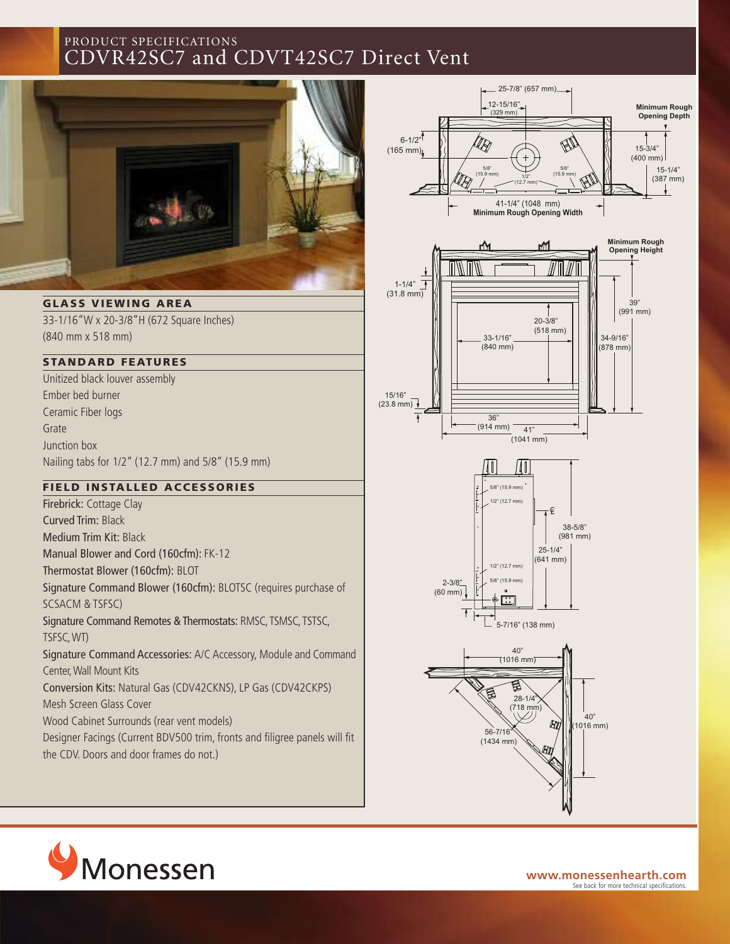## PRODUCT SPECIFICATIONS CDVR42SC7 and CDVT42SC7 Direct Vent



**GLASS V IEWING AREA** 33-1/16"W x 20-3/8"H (672 Square Inches)

(840 mm x 518 mm)

#### **STANDARD FEAT U RES**

Unitized black louver assembly Ember bed burner Ceramic Fiber logs Grate Junction box Nailing tabs for 1/2" (12.7 mm) and 5/8" (15.9 mm)

#### **F IELD INSTAL LED ACCESSORIES**

Firebrick: Cottage Clay Curved Trim: Black Medium Trim Kit: Black Manual Blower and Cord (160cfm): FK-12 Thermostat Blower (160cfm): BLOT Signature Command Blower (160cfm): BLOTSC (requires purchase of SCSACM & TSFSC) Signature Command Remotes & Thermostats: RMSC, TSMSC, TSTSC, TSFSC,WT) Signature Command Accessories: A/C Accessory, Module and Command Center,Wall Mount Kits Conversion Kits: Natural Gas (CDV42CKNS), LP Gas (CDV42CKPS) Mesh Screen Glass Cover Wood Cabinet Surrounds (rear vent models) Designer Facings (Current BDV500 trim, fronts and filigree panels will fit

the CDV. Doors and door frames do not.)